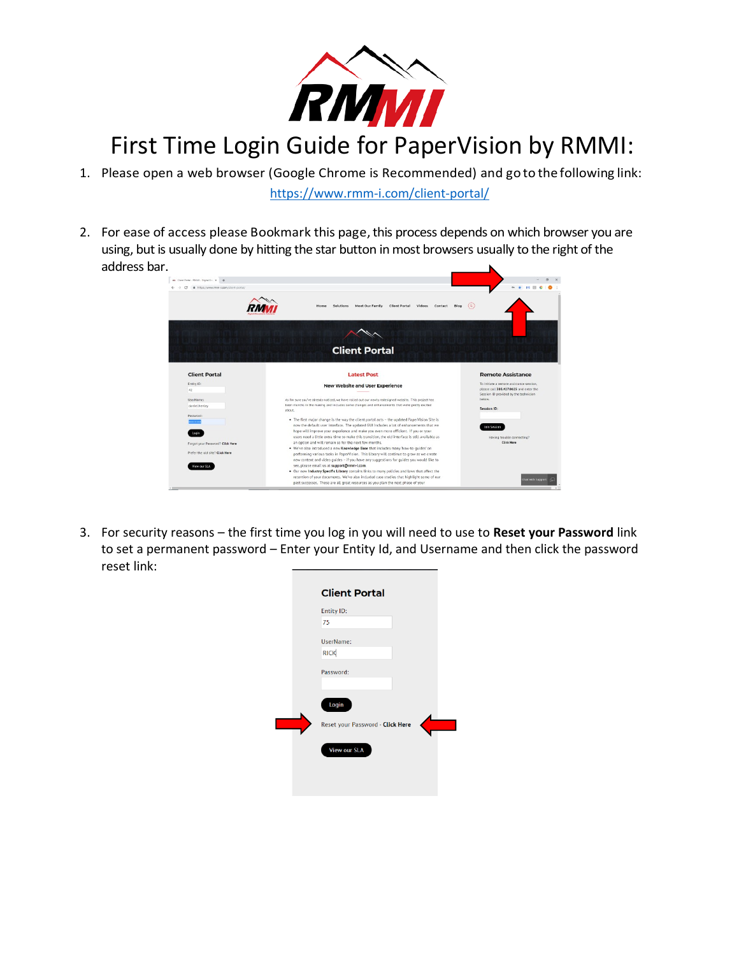

## First Time Login Guide for PaperVision by RMMI:

1. Please open a web browser (Google Chrome is Recommended) and go to thefollowing link:

<https://www.rmm-i.com/client-portal/>

2. For ease of access please Bookmark this page, this process depends on which browser you are using, but is usually done by hitting the star button in most browsers usually to the right of the address bar.

| Mi Client Portal - RMMI - Digital Dc. X + |                                                                                                                                                                              |                                                 |
|-------------------------------------------|------------------------------------------------------------------------------------------------------------------------------------------------------------------------------|-------------------------------------------------|
| C.<br>https://www.mm-i.com/client-portal/ |                                                                                                                                                                              |                                                 |
|                                           |                                                                                                                                                                              |                                                 |
|                                           | Meet Our Family<br><b>Client Portal</b><br>Contact<br>Blog<br>Solutions<br>Videos<br>Mome                                                                                    | (a)                                             |
|                                           |                                                                                                                                                                              |                                                 |
|                                           |                                                                                                                                                                              |                                                 |
|                                           |                                                                                                                                                                              |                                                 |
|                                           |                                                                                                                                                                              |                                                 |
|                                           |                                                                                                                                                                              |                                                 |
|                                           | <b>Client Portal</b>                                                                                                                                                         |                                                 |
|                                           |                                                                                                                                                                              |                                                 |
| <b>Client Portal</b>                      | <b>Latest Post</b>                                                                                                                                                           | <b>Remote Assistance</b>                        |
| Entity ID:                                |                                                                                                                                                                              | To initiate a remote assistance session.        |
| 42                                        | <b>New Website and User Experience</b>                                                                                                                                       | please call 303.427,0625 and enter the          |
| UserName:                                 | As I'm sure you've already noticed, we have rolled out our newly redesigned website. This project has                                                                        | Session ID provided by the technician<br>below. |
| daniel.henley                             | been months in the making and includes some changes and enhancements that we're pretty excited                                                                               | Session ID:                                     |
| Password:                                 | about.                                                                                                                                                                       |                                                 |
|                                           | . The first major change is the way the client portal acts - the updated PaperVision Site is                                                                                 |                                                 |
|                                           | now the default user interface. The updated GUI includes a lot of enhancements that we<br>hope will improve your experience and make you even more efficient. If you or your | loin Session                                    |
| Login                                     | users need a little extra time to make this transition, the old interface is still available as                                                                              | Having trouble connecting?                      |
| Forgot your Password? Click Here          | an option and will remain so for the next few months.                                                                                                                        | <b>Click Here</b>                               |
| Prefer the old site? Click Here           | . We've also introduced a new Knowledge Base that includes many 'how-to-guides' on                                                                                           |                                                 |
|                                           | performing various tasks in PaperVision. This library will continue to grow as we create                                                                                     |                                                 |
| View our SLA                              | new content and video quides - if you have any suggestions for guides you would like to<br>see, please email us at support@rmm-i.com.                                        |                                                 |
|                                           | . Our new Industry Specific Library contains links to many policies and laws that affect the                                                                                 |                                                 |
|                                           |                                                                                                                                                                              |                                                 |
|                                           | retention of your documents. We've also included case studies that highlight some of our                                                                                     | Chat with Support                               |

3. For security reasons – the first time you log in you will need to use to **Reset your Password** link to set a permanent password – Enter your Entity Id, and Username and then click the password reset link:

|  | <b>Client Portal</b>             |  |
|--|----------------------------------|--|
|  | Entity ID:                       |  |
|  | 75                               |  |
|  | UserName:                        |  |
|  | <b>RICK</b>                      |  |
|  | Password:                        |  |
|  | Login                            |  |
|  | Reset your Password - Click Here |  |
|  | View our SLA                     |  |
|  |                                  |  |
|  |                                  |  |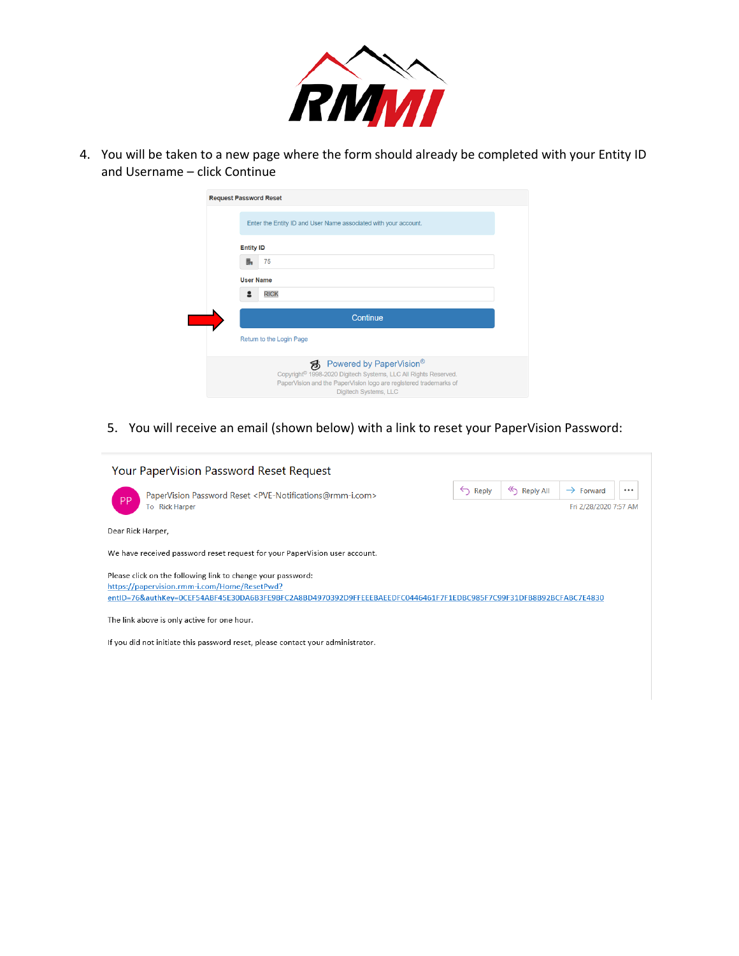

4. You will be taken to a new page where the form should already be completed with your Entity ID and Username – click Continue

| <b>Request Password Reset</b> |                                                                             |
|-------------------------------|-----------------------------------------------------------------------------|
|                               | Enter the Entity ID and User Name associated with your account.             |
| <b>Entity ID</b>              |                                                                             |
| 醖                             | 75                                                                          |
| <b>User Name</b>              |                                                                             |
|                               | <b>RICK</b>                                                                 |
|                               | Continue                                                                    |
|                               | Return to the Login Page                                                    |
|                               | る Powered by PaperVision®                                                   |
|                               | Copyright <sup>®</sup> 1998-2020 Digitech Systems, LLC All Rights Reserved. |

5. You will receive an email (shown below) with a link to reset your PaperVision Password:

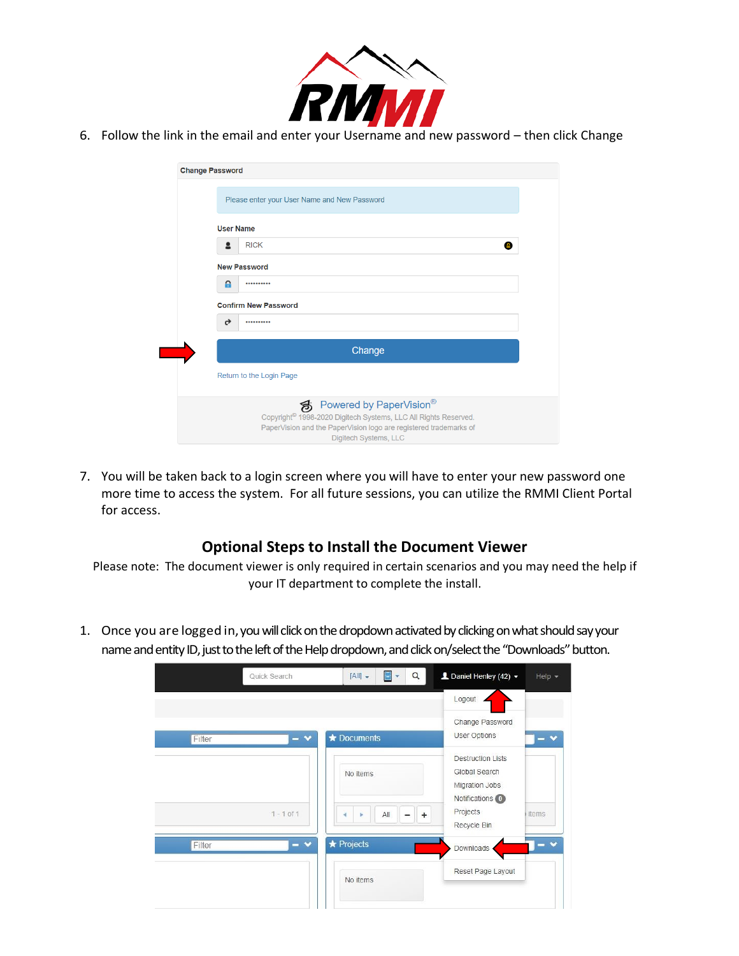

6. Follow the link in the email and enter your Username and new password – then click Change

| <b>Change Password</b> |                                                                                                                                                                                                        |
|------------------------|--------------------------------------------------------------------------------------------------------------------------------------------------------------------------------------------------------|
|                        | Please enter your User Name and New Password                                                                                                                                                           |
| <b>User Name</b>       |                                                                                                                                                                                                        |
|                        | <b>RICK</b>                                                                                                                                                                                            |
|                        | <b>New Password</b>                                                                                                                                                                                    |
| a                      |                                                                                                                                                                                                        |
|                        | <b>Confirm New Password</b>                                                                                                                                                                            |
| ᢦ                      |                                                                                                                                                                                                        |
|                        | Change                                                                                                                                                                                                 |
|                        | Return to the Login Page                                                                                                                                                                               |
|                        | る Powered by PaperVision®<br>Copyright <sup>®</sup> 1998-2020 Digitech Systems, LLC All Rights Reserved.<br>PaperVision and the PaperVision logo are registered trademarks of<br>Digitech Systems, LLC |

7. You will be taken back to a login screen where you will have to enter your new password one more time to access the system. For all future sessions, you can utilize the RMMI Client Portal for access.

## **Optional Steps to Install the Document Viewer**

Please note: The document viewer is only required in certain scenarios and you may need the help if your IT department to complete the install.

1. Once you are logged in, you will click on the dropdown activated by clicking on what should say your name and entity ID, just to the left of the Help dropdown, and click on/select the "Downloads" button.

| Quick Search                    | Q<br>$A   -$<br>▤                | $\triangle$ Daniel Henley (42) $\sim$<br>Help $\star$                                                                |
|---------------------------------|----------------------------------|----------------------------------------------------------------------------------------------------------------------|
|                                 |                                  | Logout                                                                                                               |
| $\bullet$<br>Filter<br>$\equiv$ | <b>*</b> Documents               | Change Password<br>User Options<br>$\bullet$<br>-                                                                    |
| $1 - 1$ of $1$                  | No items<br>All<br>$+$<br>∢<br>Þ | <b>Destruction Lists</b><br>Global Search<br>Migration Jobs<br>Notifications (0)<br>Projects<br>items<br>Recycle Bin |
| $ \vee$<br>Filter               | * Projects                       | Downloads                                                                                                            |
|                                 | No items                         | Reset Page Layout                                                                                                    |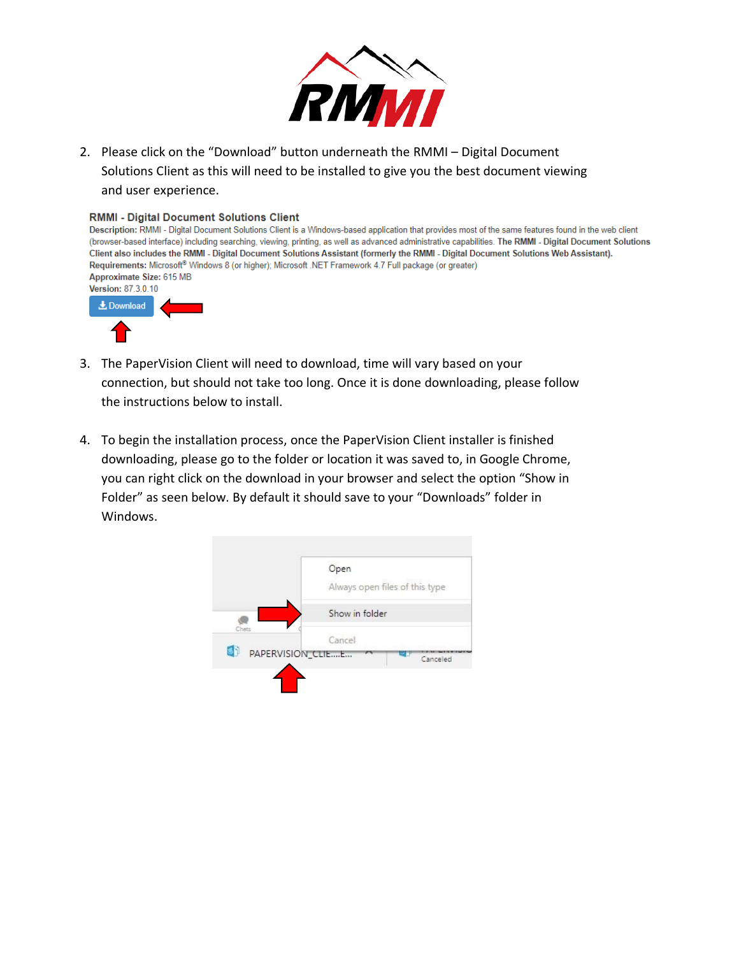

2. Please click on the "Download" button underneath the RMMI – Digital Document Solutions Client as this will need to be installed to give you the best document viewing and user experience.

## **RMMI - Digital Document Solutions Client**

Description: RMMI - Digital Document Solutions Client is a Windows-based application that provides most of the same features found in the web client (browser-based interface) including searching, viewing, printing, as well as advanced administrative capabilities. The RMMI - Digital Document Solutions Client also includes the RMMI - Digital Document Solutions Assistant (formerly the RMMI - Digital Document Solutions Web Assistant). Requirements: Microsoft® Windows 8 (or higher); Microsoft .NET Framework 4.7 Full package (or greater) Approximate Size: 615 MB Version: 87.3.0.10 **上** Download

- 3. The PaperVision Client will need to download, time will vary based on your connection, but should not take too long. Once it is done downloading, please follow the instructions below to install.
- 4. To begin the installation process, once the PaperVision Client installer is finished downloading, please go to the folder or location it was saved to, in Google Chrome, you can right click on the download in your browser and select the option "Show in Folder" as seen below. By default it should save to your "Downloads" folder in Windows.

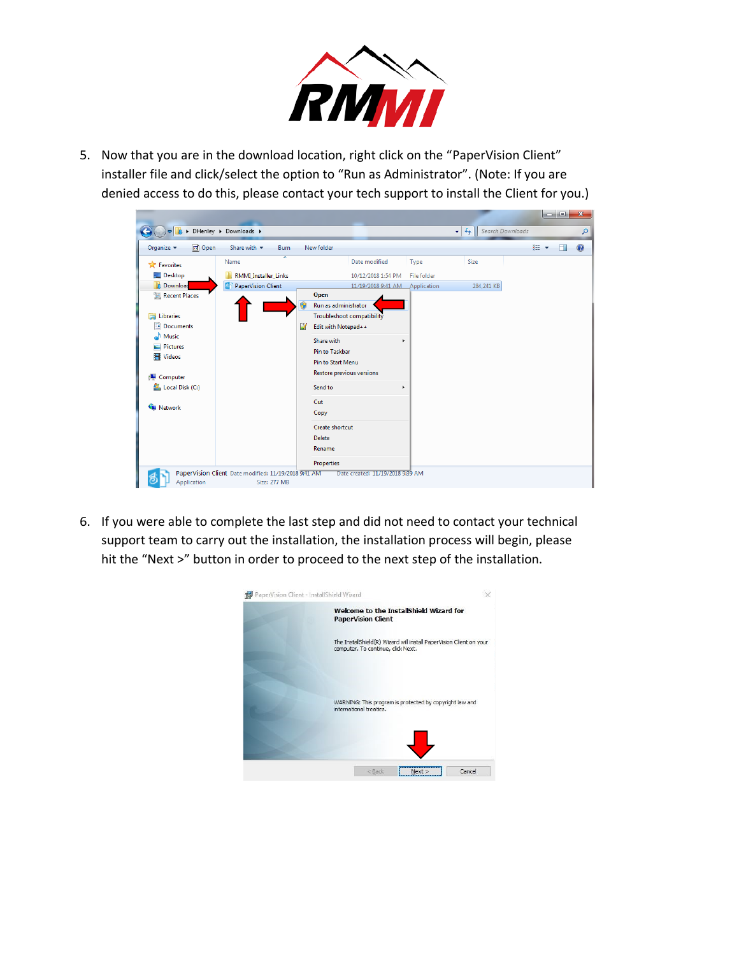

5. Now that you are in the download location, right click on the "PaperVision Client" installer file and click/select the option to "Run as Administrator". (Note: If you are denied access to do this, please contact your tech support to install the Client for you.)



6. If you were able to complete the last step and did not need to contact your technical support team to carry out the installation, the installation process will begin, please hit the "Next >" button in order to proceed to the next step of the installation.